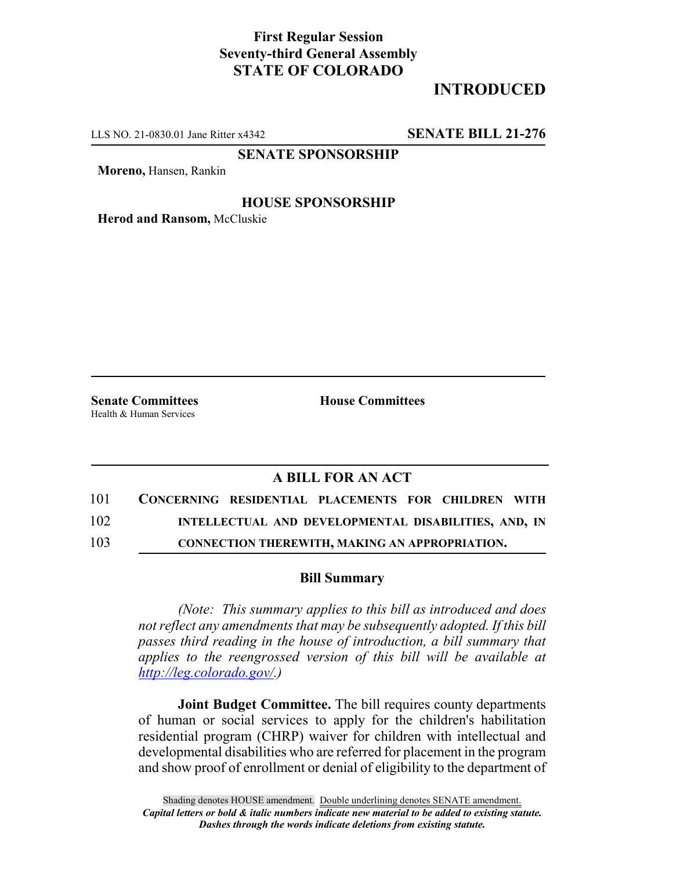## **First Regular Session Seventy-third General Assembly STATE OF COLORADO**

# **INTRODUCED**

LLS NO. 21-0830.01 Jane Ritter x4342 **SENATE BILL 21-276**

**SENATE SPONSORSHIP**

**Moreno,** Hansen, Rankin

### **HOUSE SPONSORSHIP**

**Herod and Ransom,** McCluskie

Health & Human Services

**Senate Committees House Committees** 

### **A BILL FOR AN ACT**

- 101 **CONCERNING RESIDENTIAL PLACEMENTS FOR CHILDREN WITH** 102 **INTELLECTUAL AND DEVELOPMENTAL DISABILITIES, AND, IN**
- 103 **CONNECTION THEREWITH, MAKING AN APPROPRIATION.**

#### **Bill Summary**

*(Note: This summary applies to this bill as introduced and does not reflect any amendments that may be subsequently adopted. If this bill passes third reading in the house of introduction, a bill summary that applies to the reengrossed version of this bill will be available at http://leg.colorado.gov/.)*

**Joint Budget Committee.** The bill requires county departments of human or social services to apply for the children's habilitation residential program (CHRP) waiver for children with intellectual and developmental disabilities who are referred for placement in the program and show proof of enrollment or denial of eligibility to the department of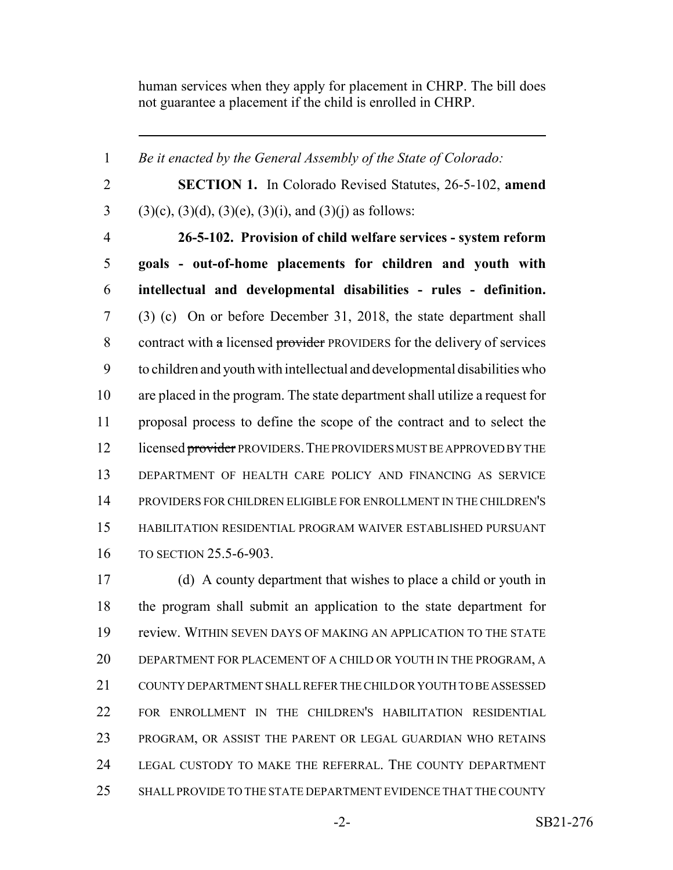human services when they apply for placement in CHRP. The bill does not guarantee a placement if the child is enrolled in CHRP.

 *Be it enacted by the General Assembly of the State of Colorado:* **SECTION 1.** In Colorado Revised Statutes, 26-5-102, **amend** 3 (3)(c), (3)(d), (3)(e), (3)(i), and (3)(j) as follows: **26-5-102. Provision of child welfare services - system reform goals - out-of-home placements for children and youth with intellectual and developmental disabilities - rules - definition.** (3) (c) On or before December 31, 2018, the state department shall 8 contract with  $\alpha$  licensed provider PROVIDERS for the delivery of services to children and youth with intellectual and developmental disabilities who are placed in the program. The state department shall utilize a request for proposal process to define the scope of the contract and to select the 12 licensed provider PROVIDERS. THE PROVIDERS MUST BE APPROVED BY THE DEPARTMENT OF HEALTH CARE POLICY AND FINANCING AS SERVICE PROVIDERS FOR CHILDREN ELIGIBLE FOR ENROLLMENT IN THE CHILDREN'S HABILITATION RESIDENTIAL PROGRAM WAIVER ESTABLISHED PURSUANT TO SECTION 25.5-6-903.

 (d) A county department that wishes to place a child or youth in the program shall submit an application to the state department for review. WITHIN SEVEN DAYS OF MAKING AN APPLICATION TO THE STATE DEPARTMENT FOR PLACEMENT OF A CHILD OR YOUTH IN THE PROGRAM, A COUNTY DEPARTMENT SHALL REFER THE CHILD OR YOUTH TO BE ASSESSED FOR ENROLLMENT IN THE CHILDREN'S HABILITATION RESIDENTIAL PROGRAM, OR ASSIST THE PARENT OR LEGAL GUARDIAN WHO RETAINS LEGAL CUSTODY TO MAKE THE REFERRAL. THE COUNTY DEPARTMENT SHALL PROVIDE TO THE STATE DEPARTMENT EVIDENCE THAT THE COUNTY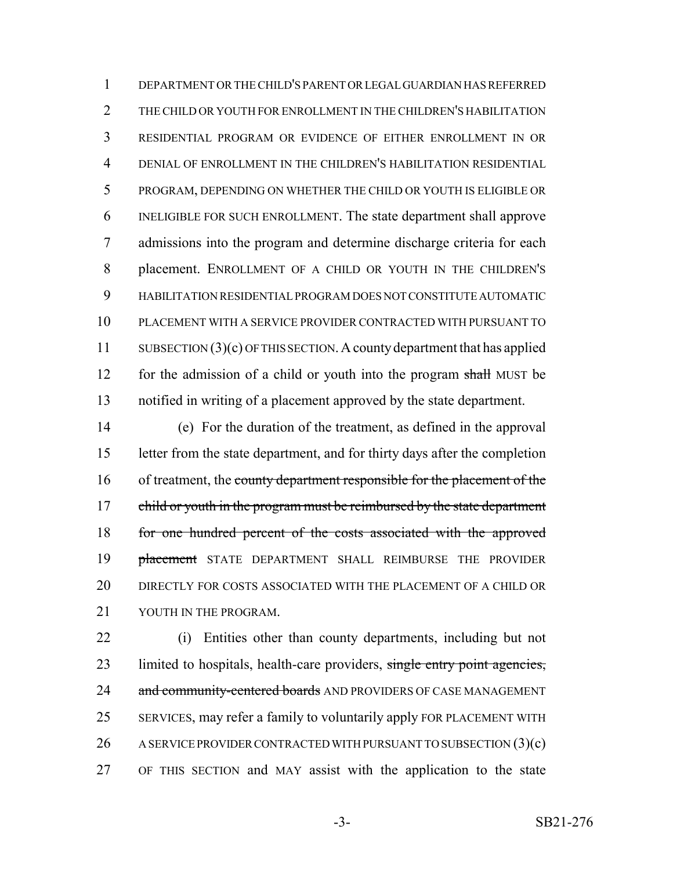DEPARTMENT OR THE CHILD'S PARENT OR LEGAL GUARDIAN HAS REFERRED THE CHILD OR YOUTH FOR ENROLLMENT IN THE CHILDREN'S HABILITATION RESIDENTIAL PROGRAM OR EVIDENCE OF EITHER ENROLLMENT IN OR DENIAL OF ENROLLMENT IN THE CHILDREN'S HABILITATION RESIDENTIAL PROGRAM, DEPENDING ON WHETHER THE CHILD OR YOUTH IS ELIGIBLE OR INELIGIBLE FOR SUCH ENROLLMENT. The state department shall approve admissions into the program and determine discharge criteria for each placement. ENROLLMENT OF A CHILD OR YOUTH IN THE CHILDREN'S HABILITATION RESIDENTIAL PROGRAM DOES NOT CONSTITUTE AUTOMATIC PLACEMENT WITH A SERVICE PROVIDER CONTRACTED WITH PURSUANT TO 11 SUBSECTION (3)(c) OF THIS SECTION. A county department that has applied 12 for the admission of a child or youth into the program shall MUST be notified in writing of a placement approved by the state department.

 (e) For the duration of the treatment, as defined in the approval letter from the state department, and for thirty days after the completion 16 of treatment, the county department responsible for the placement of the 17 child or youth in the program must be reimbursed by the state department 18 for one hundred percent of the costs associated with the approved **placement** STATE DEPARTMENT SHALL REIMBURSE THE PROVIDER DIRECTLY FOR COSTS ASSOCIATED WITH THE PLACEMENT OF A CHILD OR 21 YOUTH IN THE PROGRAM.

 (i) Entities other than county departments, including but not 23 limited to hospitals, health-care providers, single entry point agencies, 24 and community-centered boards AND PROVIDERS OF CASE MANAGEMENT SERVICES, may refer a family to voluntarily apply FOR PLACEMENT WITH 26 A SERVICE PROVIDER CONTRACTED WITH PURSUANT TO SUBSECTION (3)(c) OF THIS SECTION and MAY assist with the application to the state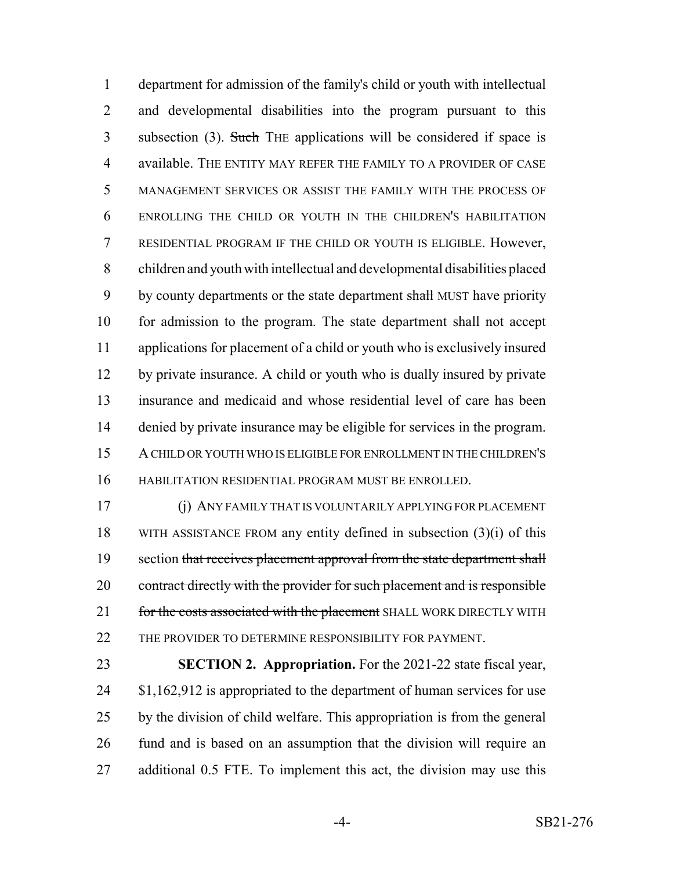department for admission of the family's child or youth with intellectual and developmental disabilities into the program pursuant to this 3 subsection (3). Such THE applications will be considered if space is available. THE ENTITY MAY REFER THE FAMILY TO A PROVIDER OF CASE MANAGEMENT SERVICES OR ASSIST THE FAMILY WITH THE PROCESS OF ENROLLING THE CHILD OR YOUTH IN THE CHILDREN'S HABILITATION RESIDENTIAL PROGRAM IF THE CHILD OR YOUTH IS ELIGIBLE. However, children and youth with intellectual and developmental disabilities placed 9 by county departments or the state department shall MUST have priority for admission to the program. The state department shall not accept applications for placement of a child or youth who is exclusively insured by private insurance. A child or youth who is dually insured by private insurance and medicaid and whose residential level of care has been denied by private insurance may be eligible for services in the program. A CHILD OR YOUTH WHO IS ELIGIBLE FOR ENROLLMENT IN THE CHILDREN'S HABILITATION RESIDENTIAL PROGRAM MUST BE ENROLLED.

 (j) ANY FAMILY THAT IS VOLUNTARILY APPLYING FOR PLACEMENT 18 WITH ASSISTANCE FROM any entity defined in subsection  $(3)(i)$  of this 19 section that receives placement approval from the state department shall 20 contract directly with the provider for such placement and is responsible 21 for the costs associated with the placement SHALL WORK DIRECTLY WITH 22 THE PROVIDER TO DETERMINE RESPONSIBILITY FOR PAYMENT.

 **SECTION 2. Appropriation.** For the 2021-22 state fiscal year, 24 \$1,162,912 is appropriated to the department of human services for use by the division of child welfare. This appropriation is from the general fund and is based on an assumption that the division will require an additional 0.5 FTE. To implement this act, the division may use this